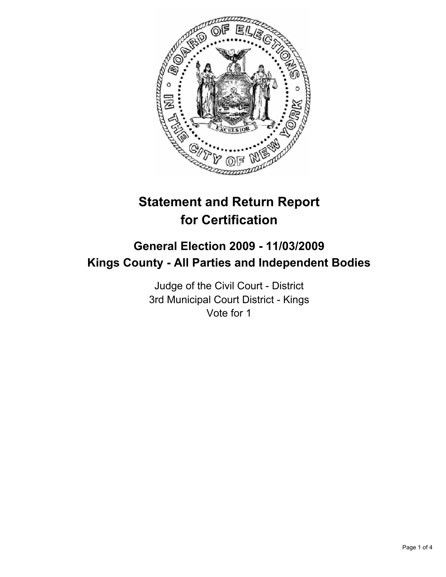

# **Statement and Return Report for Certification**

## **General Election 2009 - 11/03/2009 Kings County - All Parties and Independent Bodies**

Judge of the Civil Court - District 3rd Municipal Court District - Kings Vote for 1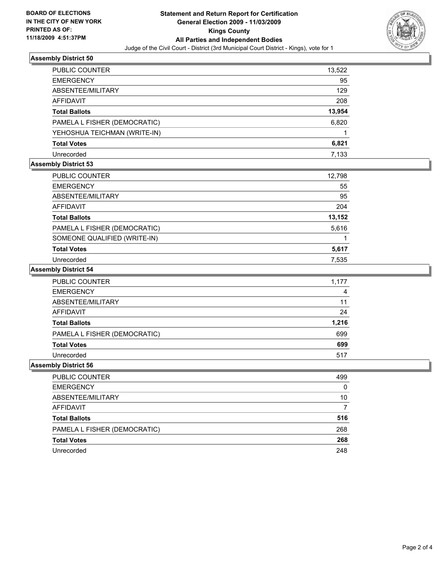

#### **Assembly District 50**

| <b>PUBLIC COUNTER</b>        | 13,522 |
|------------------------------|--------|
| <b>EMERGENCY</b>             | 95     |
| ABSENTEE/MILITARY            | 129    |
| AFFIDAVIT                    | 208    |
| <b>Total Ballots</b>         | 13,954 |
| PAMELA L FISHER (DEMOCRATIC) | 6,820  |
| YEHOSHUA TEICHMAN (WRITE-IN) |        |
| <b>Total Votes</b>           | 6,821  |
| Unrecorded                   | 7.133  |

### **Assembly District 53**

| PUBLIC COUNTER               | 12,798 |
|------------------------------|--------|
| <b>EMERGENCY</b>             | 55     |
| ABSENTEE/MILITARY            | 95     |
| AFFIDAVIT                    | 204    |
| <b>Total Ballots</b>         | 13,152 |
| PAMELA L FISHER (DEMOCRATIC) | 5,616  |
| SOMEONE QUALIFIED (WRITE-IN) |        |
| <b>Total Votes</b>           | 5,617  |
| Unrecorded                   | 7.535  |

#### **Assembly District 54**

| <b>PUBLIC COUNTER</b>        | 1.177 |
|------------------------------|-------|
| <b>EMERGENCY</b>             | 4     |
| ABSENTEE/MILITARY            | 11    |
| AFFIDAVIT                    | 24    |
| <b>Total Ballots</b>         | 1,216 |
| PAMELA L FISHER (DEMOCRATIC) | 699   |
| <b>Total Votes</b>           | 699   |
| Unrecorded                   | 517   |

#### **Assembly District 56**

| PUBLIC COUNTER               | 499 |
|------------------------------|-----|
| <b>EMERGENCY</b>             | 0   |
| ABSENTEE/MILITARY            | 10  |
| AFFIDAVIT                    |     |
| <b>Total Ballots</b>         | 516 |
| PAMELA L FISHER (DEMOCRATIC) | 268 |
| <b>Total Votes</b>           | 268 |
| Unrecorded                   | 248 |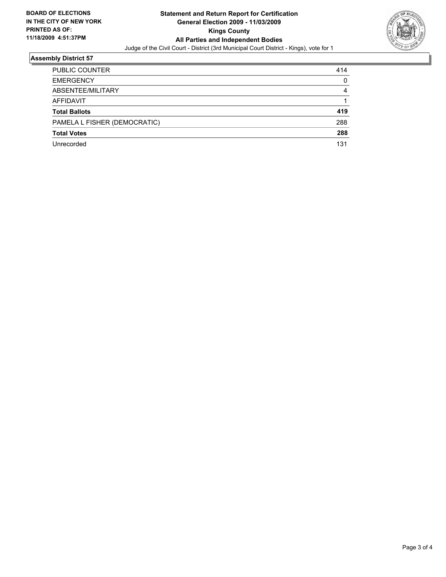

#### **Assembly District 57**

| <b>PUBLIC COUNTER</b>        | 414 |
|------------------------------|-----|
| <b>EMERGENCY</b>             | 0   |
| ABSENTEE/MILITARY            | 4   |
| <b>AFFIDAVIT</b>             |     |
| <b>Total Ballots</b>         | 419 |
| PAMELA L FISHER (DEMOCRATIC) | 288 |
| <b>Total Votes</b>           | 288 |
|                              |     |